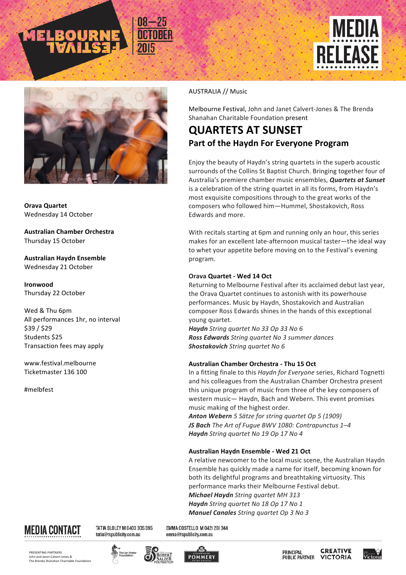





**Orava Quartet** Wednesday 14 October

**Australian Chamber Orchestra** Thursday 15 October

**Australian Haydn Ensemble** Wednesday 21 October

**Ironwood** Thursday 22 October

Wed & Thu 6pm All performances 1hr, no interval \$39 / \$29 Students \$25 Transaction fees may apply

www.festival.melbourne Ticketmaster 136 100

#melbfest

### AUSTRALIA // Music

Melbourne Festival, John and Janet Calvert-Jones & The Brenda Shanahan Charitable Foundation present

## **QUARTETS AT SUNSET Part of the Haydn For Everyone Program**

Enjoy the beauty of Haydn's string quartets in the superb acoustic surrounds of the Collins St Baptist Church. Bringing together four of Australia's premiere chamber music ensembles, **Quartets at Sunset** is a celebration of the string quartet in all its forms, from Haydn's most exquisite compositions through to the great works of the composers who followed him-Hummel, Shostakovich, Ross Edwards and more.

With recitals starting at 6pm and running only an hour, this series makes for an excellent late-afternoon musical taster-the ideal way to whet your appetite before moving on to the Festival's evening program.

### **Orava Quartet - Wed 14 Oct**

Returning to Melbourne Festival after its acclaimed debut last year, the Orava Quartet continues to astonish with its powerhouse performances. Music by Haydn, Shostakovich and Australian composer Ross Edwards shines in the hands of this exceptional young quartet.

*Haydn String quartet No 33 Op 33 No 6 Ross Edwards String quartet No 3 summer dances* **Shostakovich** String quartet No 6

### **Australian Chamber Orchestra - Thu 15 Oct**

In a fitting finale to this *Haydn for Everyone* series, Richard Tognetti and his colleagues from the Australian Chamber Orchestra present this unique program of music from three of the key composers of western music— Haydn, Bach and Webern. This event promises music making of the highest order.

*Anton Webern 5 Sätze for string quartet Op 5 (1909) JS Bach The Art of Fugue BWV 1080: Contrapunctus 1–4 Haydn String quartet No 19 Op 17 No 4* 

### **Australian Haydn Ensemble - Wed 21 Oct**

A relative newcomer to the local music scene, the Australian Haydn Ensemble has quickly made a name for itself, becoming known for both its delightful programs and breathtaking virtuosity. This performance marks their Melbourne Festival debut. *Michael Haydn String quartet MH 313 Haydn String quartet No 18 Op 17 No 1 Manuel Canales String quartet Op 3 No 3* 



TATIA SLOLEY M 0403 305 395 tatia@tspublicity.com.au

EMMA COSTELLO M 042| 20| 344 emma@tspublicity.com.au

PRESENTING PARTNERS John and Janet-Calvert Jones & **The Brenda Shanahan Charitable Foundation**